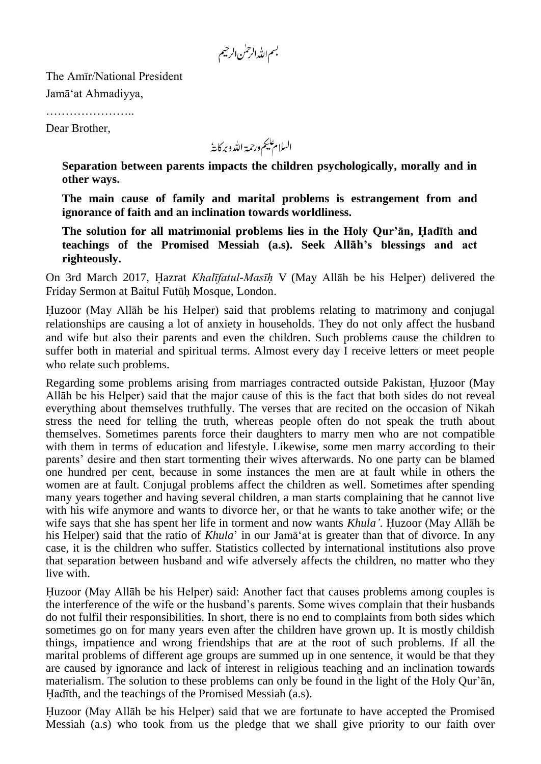بسم الله الرحس الرحيم

The Amīr/National President Jamā"at Ahmadiyya,

………………………

Dear Brother,

السلام عليم ورحمة الله وبركايةُ

**Separation between parents impacts the children psychologically, morally and in other ways.**

**The main cause of family and marital problems is estrangement from and ignorance of faith and an inclination towards worldliness.**

**The solution for all matrimonial problems lies in the Holy Qur'ān, Hadīth and teachings of the Promised Messiah (a.s). Seek Allāh's blessings and act righteously.**

On 3rd March 2017, Hazrat *Khalīfatul-Masīh* V (May Allāh be his Helper) delivered the Friday Sermon at Baitul Futūh Mosque, London.

Huzoor (May Allāh be his Helper) said that problems relating to matrimony and conjugal relationships are causing a lot of anxiety in households. They do not only affect the husband and wife but also their parents and even the children. Such problems cause the children to suffer both in material and spiritual terms. Almost every day I receive letters or meet people who relate such problems.

Regarding some problems arising from marriages contracted outside Pakistan, Huzoor (May Allāh be his Helper) said that the major cause of this is the fact that both sides do not reveal everything about themselves truthfully. The verses that are recited on the occasion of Nikah stress the need for telling the truth, whereas people often do not speak the truth about themselves. Sometimes parents force their daughters to marry men who are not compatible with them in terms of education and lifestyle. Likewise, some men marry according to their parents" desire and then start tormenting their wives afterwards. No one party can be blamed one hundred per cent, because in some instances the men are at fault while in others the women are at fault. Conjugal problems affect the children as well. Sometimes after spending many years together and having several children, a man starts complaining that he cannot live with his wife anymore and wants to divorce her, or that he wants to take another wife; or the wife says that she has spent her life in torment and now wants *Khula'*. Huzoor (May Allāh be his Helper) said that the ratio of *Khula*' in our Jama<sup>'</sup> at is greater than that of divorce. In any case, it is the children who suffer. Statistics collected by international institutions also prove that separation between husband and wife adversely affects the children, no matter who they live with.

Huzoor (May Allāh be his Helper) said: Another fact that causes problems among couples is the interference of the wife or the husband"s parents. Some wives complain that their husbands do not fulfil their responsibilities. In short, there is no end to complaints from both sides which sometimes go on for many years even after the children have grown up. It is mostly childish things, impatience and wrong friendships that are at the root of such problems. If all the marital problems of different age groups are summed up in one sentence, it would be that they are caused by ignorance and lack of interest in religious teaching and an inclination towards materialism. The solution to these problems can only be found in the light of the Holy Qur'an, Hadīth, and the teachings of the Promised Messiah (a.s).

Huzoor (May Allāh be his Helper) said that we are fortunate to have accepted the Promised Messiah (a.s) who took from us the pledge that we shall give priority to our faith over